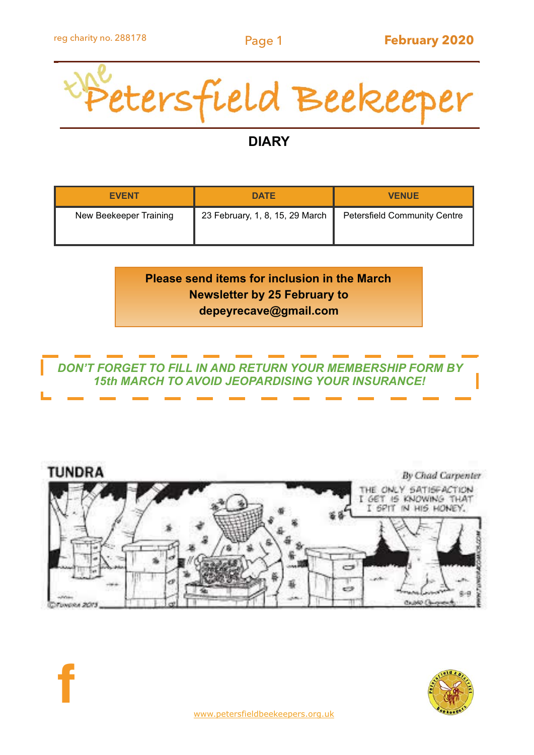

# **DIARY**

| <b>EVENT</b>           | <b>DATE</b>                     | <b>VENUE</b>                        |
|------------------------|---------------------------------|-------------------------------------|
| New Beekeeper Training | 23 February, 1, 8, 15, 29 March | <b>Petersfield Community Centre</b> |

# **Please send items for inclusion in the March Newsletter by 25 February to depeyrecave@gmail.com**

## *DON'T FORGET TO FILL IN AND RETURN YOUR MEMBERSHIP FORM BY 15th MARCH TO AVOID JEOPARDISING YOUR INSURANCE!*





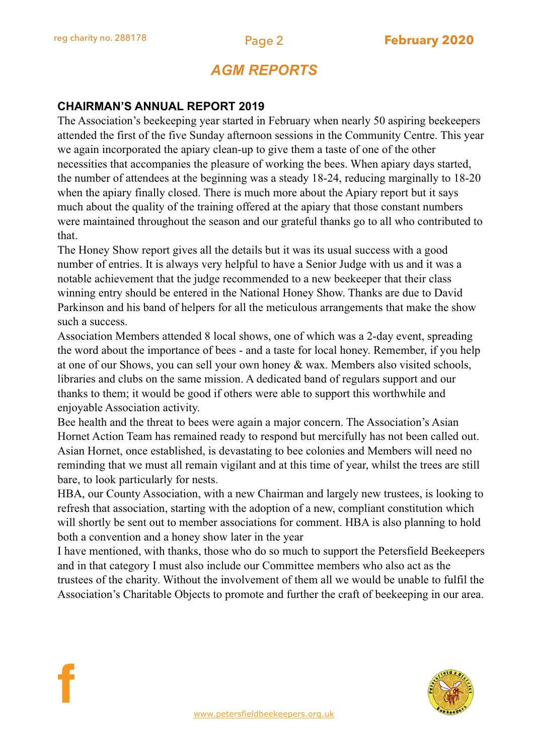**f**

# *AGM REPORTS*

## **CHAIRMAN'S ANNUAL REPORT 2019**

The Association's beekeeping year started in February when nearly 50 aspiring beekeepers attended the first of the five Sunday afternoon sessions in the Community Centre. This year we again incorporated the apiary clean-up to give them a taste of one of the other necessities that accompanies the pleasure of working the bees. When apiary days started, the number of attendees at the beginning was a steady 18-24, reducing marginally to 18-20 when the apiary finally closed. There is much more about the Apiary report but it says much about the quality of the training offered at the apiary that those constant numbers were maintained throughout the season and our grateful thanks go to all who contributed to that.

The Honey Show report gives all the details but it was its usual success with a good number of entries. It is always very helpful to have a Senior Judge with us and it was a notable achievement that the judge recommended to a new beekeeper that their class winning entry should be entered in the National Honey Show. Thanks are due to David Parkinson and his band of helpers for all the meticulous arrangements that make the show such a success.

Association Members attended 8 local shows, one of which was a 2-day event, spreading the word about the importance of bees - and a taste for local honey. Remember, if you help at one of our Shows, you can sell your own honey & wax. Members also visited schools, libraries and clubs on the same mission. A dedicated band of regulars support and our thanks to them; it would be good if others were able to support this worthwhile and enjoyable Association activity.

Bee health and the threat to bees were again a major concern. The Association's Asian Hornet Action Team has remained ready to respond but mercifully has not been called out. Asian Hornet, once established, is devastating to bee colonies and Members will need no reminding that we must all remain vigilant and at this time of year, whilst the trees are still bare, to look particularly for nests.

HBA, our County Association, with a new Chairman and largely new trustees, is looking to refresh that association, starting with the adoption of a new, compliant constitution which will shortly be sent out to member associations for comment. HBA is also planning to hold both a convention and a honey show later in the year

I have mentioned, with thanks, those who do so much to support the Petersfield Beekeepers and in that category I must also include our Committee members who also act as the trustees of the charity. Without the involvement of them all we would be unable to fulfil the Association's Charitable Objects to promote and further the craft of beekeeping in our area.

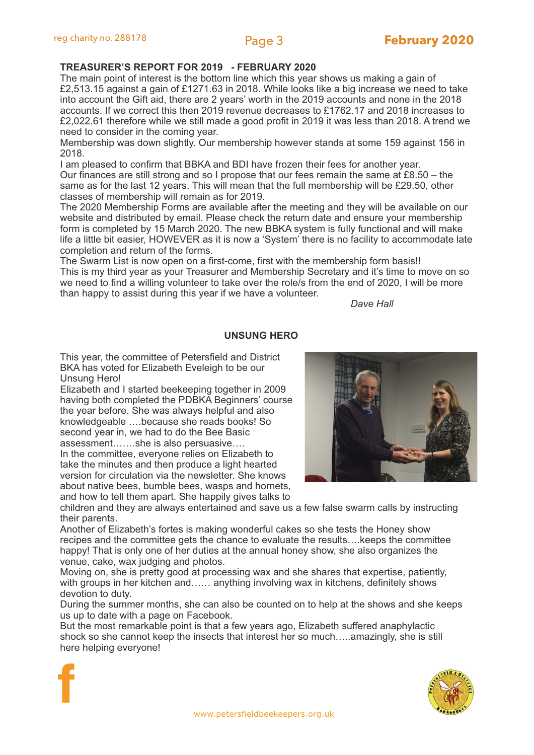### **TREASURER'S REPORT FOR 2019 - FEBRUARY 2020**

The main point of interest is the bottom line which this year shows us making a gain of £2,513.15 against a gain of £1271.63 in 2018. While looks like a big increase we need to take into account the Gift aid, there are 2 years' worth in the 2019 accounts and none in the 2018 accounts. If we correct this then 2019 revenue decreases to £1762.17 and 2018 increases to £2,022.61 therefore while we still made a good profit in 2019 it was less than 2018. A trend we need to consider in the coming year.

Membership was down slightly. Our membership however stands at some 159 against 156 in 2018.

I am pleased to confirm that BBKA and BDI have frozen their fees for another year.

Our finances are still strong and so I propose that our fees remain the same at £8.50 – the same as for the last 12 years. This will mean that the full membership will be £29.50, other classes of membership will remain as for 2019.

The 2020 Membership Forms are available after the meeting and they will be available on our website and distributed by email. Please check the return date and ensure your membership form is completed by 15 March 2020. The new BBKA system is fully functional and will make life a little bit easier, HOWEVER as it is now a 'System' there is no facility to accommodate late completion and return of the forms.

The Swarm List is now open on a first-come, first with the membership form basis!! This is my third year as your Treasurer and Membership Secretary and it's time to move on so we need to find a willing volunteer to take over the role/s from the end of 2020, I will be more than happy to assist during this year if we have a volunteer.

*Dave Hall*

### **UNSUNG HERO**

This year, the committee of Petersfield and District BKA has voted for Elizabeth Eveleigh to be our Unsung Hero!

Elizabeth and I started beekeeping together in 2009 having both completed the PDBKA Beginners' course the year before. She was always helpful and also knowledgeable ….because she reads books! So second year in, we had to do the Bee Basic assessment…….she is also persuasive….

In the committee, everyone relies on Elizabeth to take the minutes and then produce a light hearted version for circulation via the newsletter. She knows about native bees, bumble bees, wasps and hornets, and how to tell them apart. She happily gives talks to

**f**

children and they are always entertained and save us a few false swarm calls by instructing their parents.

Another of Elizabeth's fortes is making wonderful cakes so she tests the Honey show recipes and the committee gets the chance to evaluate the results….keeps the committee happy! That is only one of her duties at the annual honey show, she also organizes the venue, cake, wax judging and photos.

Moving on, she is pretty good at processing wax and she shares that expertise, patiently, with groups in her kitchen and…… anything involving wax in kitchens, definitely shows devotion to duty.

During the summer months, she can also be counted on to help at the shows and she keeps us up to date with a page on Facebook.

But the most remarkable point is that a few years ago, Elizabeth suffered anaphylactic shock so she cannot keep the insects that interest her so much…..amazingly, she is still here helping everyone!



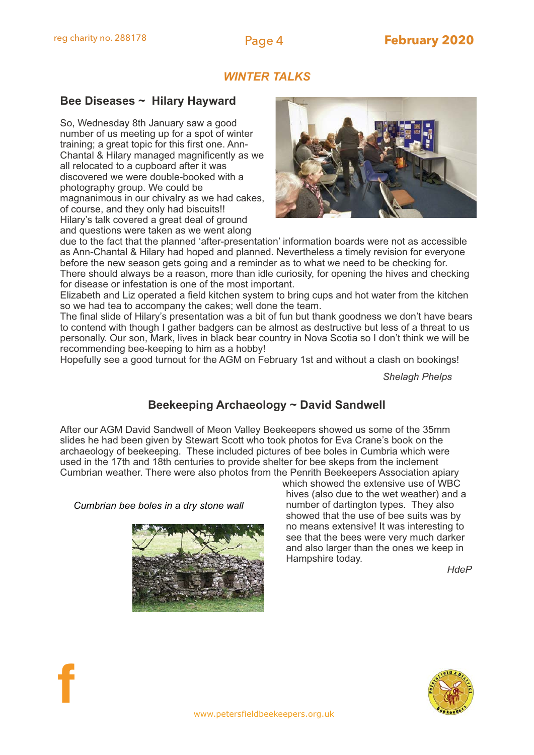## *WINTER TALKS*

### **Bee Diseases ~ Hilary Hayward**

So, Wednesday 8th January saw a good number of us meeting up for a spot of winter training; a great topic for this first one. Ann-Chantal & Hilary managed magnificently as we all relocated to a cupboard after it was discovered we were double-booked with a photography group. We could be magnanimous in our chivalry as we had cakes, of course, and they only had biscuits!! Hilary's talk covered a great deal of ground and questions were taken as we went along



due to the fact that the planned 'after-presentation' information boards were not as accessible as Ann-Chantal & Hilary had hoped and planned. Nevertheless a timely revision for everyone before the new season gets going and a reminder as to what we need to be checking for. There should always be a reason, more than idle curiosity, for opening the hives and checking for disease or infestation is one of the most important.

Elizabeth and Liz operated a field kitchen system to bring cups and hot water from the kitchen so we had tea to accompany the cakes; well done the team.

The final slide of Hilary's presentation was a bit of fun but thank goodness we don't have bears to contend with though I gather badgers can be almost as destructive but less of a threat to us personally. Our son, Mark, lives in black bear country in Nova Scotia so I don't think we will be recommending bee-keeping to him as a hobby!

Hopefully see a good turnout for the AGM on February 1st and without a clash on bookings!

*Shelagh Phelps*

# **Beekeeping Archaeology ~ David Sandwell**

After our AGM David Sandwell of Meon Valley Beekeepers showed us some of the 35mm slides he had been given by Stewart Scott who took photos for Eva Crane's book on the archaeology of beekeeping. These included pictures of bee boles in Cumbria which were used in the 17th and 18th centuries to provide shelter for bee skeps from the inclement Cumbrian weather. There were also photos from the Penrith Beekeepers Association apiary

*Cumbrian bee boles in a dry stone wall*



which showed the extensive use of WBC hives (also due to the wet weather) and a number of dartington types. They also showed that the use of bee suits was by no means extensive! It was interesting to see that the bees were very much darker and also larger than the ones we keep in Hampshire today.

*HdeP*